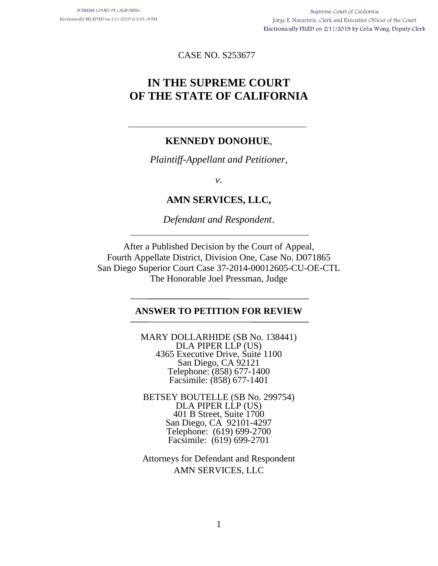CASE NO. S253677

# **IN THE SUPREME COURT OF THE STATE OF CALIFORNIA**

### **KENNEDY DONOHUE**,

*Plaintiff-Appellant and Petitioner,* 

*v.* 

### **AMN SERVICES, LLC,**

*Defendant and Respondent*.

After a Published Decision by the Court of Appeal, Fourth Appellate District, Division One, Case No. D071865 San Diego Superior Court Case 37-2014-00012605-CU-OE-CTL The Honorable Joel Pressman, Judge

#### **ANSWER TO PETITION FOR REVIEW**

MARY DOLLARHIDE (SB No. 138441) DLA PIPER LLP (US) 4365 Executive Drive, Suite 1100 San Diego, CA 92121 Telephone: (858) 677-1400 Facsimile: (858) 677-1401

BETSEY BOUTELLE (SB No. 299754) DLA PIPER LLP (US) 401 B Street, Suite 1700 San Diego, CA 92101-4297 Telephone: (619) 699-2700 Facsimile: (619) 699-2701

Attorneys for Defendant and Respondent AMN SERVICES, LLC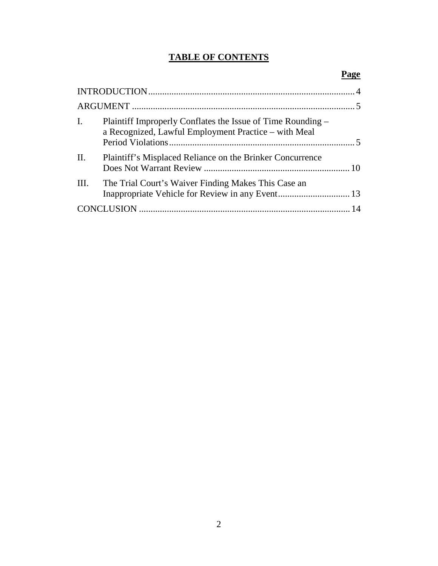## **TABLE OF CONTENTS**

| $\mathbf{I}$ . | Plaintiff Improperly Conflates the Issue of Time Rounding –<br>a Recognized, Lawful Employment Practice - with Meal |  |
|----------------|---------------------------------------------------------------------------------------------------------------------|--|
| II.            | Plaintiff's Misplaced Reliance on the Brinker Concurrence                                                           |  |
| III.           | The Trial Court's Waiver Finding Makes This Case an                                                                 |  |
|                |                                                                                                                     |  |

### **Page**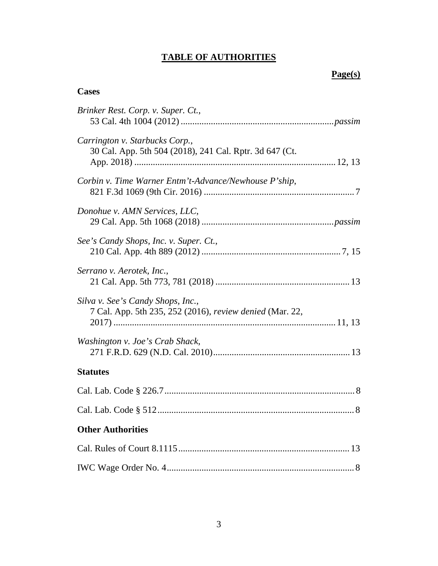## **TABLE OF AUTHORITIES**

## **Page(s)**

## **Cases**

| Brinker Rest. Corp. v. Super. Ct.,                                                            |
|-----------------------------------------------------------------------------------------------|
| Carrington v. Starbucks Corp.,<br>30 Cal. App. 5th 504 (2018), 241 Cal. Rptr. 3d 647 (Ct.     |
| Corbin v. Time Warner Entm't-Advance/Newhouse P'ship,                                         |
| Donohue v. AMN Services, LLC,                                                                 |
| See's Candy Shops, Inc. v. Super. Ct.,                                                        |
| Serrano v. Aerotek, Inc.,                                                                     |
| Silva v. See's Candy Shops, Inc.,<br>7 Cal. App. 5th 235, 252 (2016), review denied (Mar. 22, |
| Washington v. Joe's Crab Shack,                                                               |
| <b>Statutes</b>                                                                               |
|                                                                                               |
|                                                                                               |
| <b>Other Authorities</b>                                                                      |
|                                                                                               |
|                                                                                               |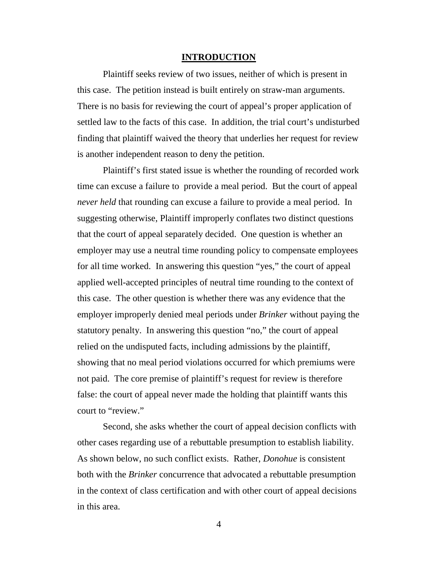#### **INTRODUCTION**

Plaintiff seeks review of two issues, neither of which is present in this case. The petition instead is built entirely on straw-man arguments. There is no basis for reviewing the court of appeal's proper application of settled law to the facts of this case. In addition, the trial court's undisturbed finding that plaintiff waived the theory that underlies her request for review is another independent reason to deny the petition.

Plaintiff's first stated issue is whether the rounding of recorded work time can excuse a failure to provide a meal period. But the court of appeal *never held* that rounding can excuse a failure to provide a meal period. In suggesting otherwise, Plaintiff improperly conflates two distinct questions that the court of appeal separately decided. One question is whether an employer may use a neutral time rounding policy to compensate employees for all time worked. In answering this question "yes," the court of appeal applied well-accepted principles of neutral time rounding to the context of this case. The other question is whether there was any evidence that the employer improperly denied meal periods under *Brinker* without paying the statutory penalty. In answering this question "no," the court of appeal relied on the undisputed facts, including admissions by the plaintiff, showing that no meal period violations occurred for which premiums were not paid. The core premise of plaintiff's request for review is therefore false: the court of appeal never made the holding that plaintiff wants this court to "review."

Second, she asks whether the court of appeal decision conflicts with other cases regarding use of a rebuttable presumption to establish liability. As shown below, no such conflict exists. Rather, *Donohue* is consistent both with the *Brinker* concurrence that advocated a rebuttable presumption in the context of class certification and with other court of appeal decisions in this area.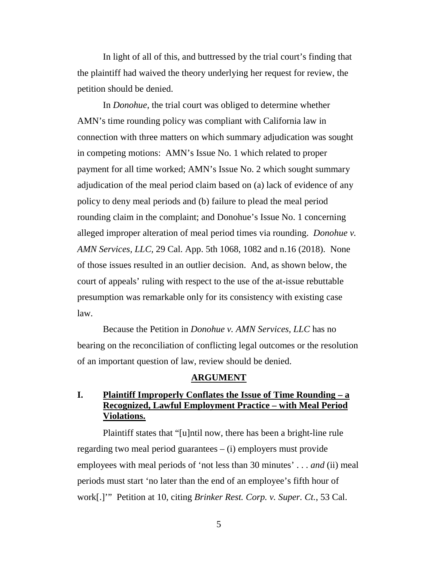In light of all of this, and buttressed by the trial court's finding that the plaintiff had waived the theory underlying her request for review, the petition should be denied.

In *Donohue*, the trial court was obliged to determine whether AMN's time rounding policy was compliant with California law in connection with three matters on which summary adjudication was sought in competing motions: AMN's Issue No. 1 which related to proper payment for all time worked; AMN's Issue No. 2 which sought summary adjudication of the meal period claim based on (a) lack of evidence of any policy to deny meal periods and (b) failure to plead the meal period rounding claim in the complaint; and Donohue's Issue No. 1 concerning alleged improper alteration of meal period times via rounding. *Donohue v. AMN Services, LLC,* 29 Cal. App. 5th 1068, 1082 and n.16 (2018). None of those issues resulted in an outlier decision. And, as shown below, the court of appeals' ruling with respect to the use of the at-issue rebuttable presumption was remarkable only for its consistency with existing case law.

Because the Petition in *Donohue v. AMN Services, LLC* has no bearing on the reconciliation of conflicting legal outcomes or the resolution of an important question of law, review should be denied.

#### **ARGUMENT**

### **I. Plaintiff Improperly Conflates the Issue of Time Rounding – a Recognized, Lawful Employment Practice – with Meal Period Violations.**

Plaintiff states that "[u]ntil now, there has been a bright-line rule regarding two meal period guarantees  $-$  (i) employers must provide employees with meal periods of 'not less than 30 minutes' . . . *and* (ii) meal periods must start 'no later than the end of an employee's fifth hour of work[.]'" Petition at 10, citing *Brinker Rest. Corp. v. Super. Ct.*, 53 Cal.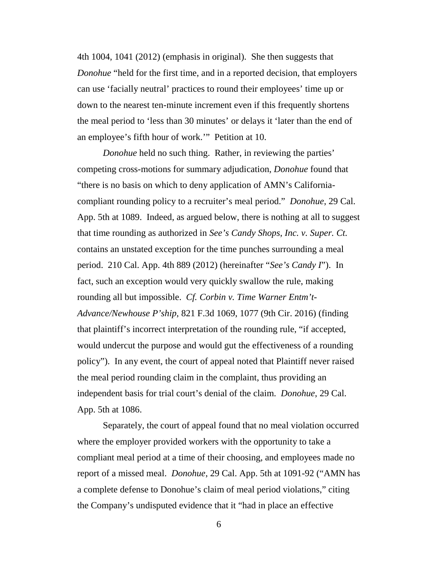4th 1004, 1041 (2012) (emphasis in original). She then suggests that *Donohue* "held for the first time, and in a reported decision, that employers can use 'facially neutral' practices to round their employees' time up or down to the nearest ten-minute increment even if this frequently shortens the meal period to 'less than 30 minutes' or delays it 'later than the end of an employee's fifth hour of work.'" Petition at 10.

*Donohue* held no such thing. Rather, in reviewing the parties' competing cross-motions for summary adjudication, *Donohue* found that "there is no basis on which to deny application of AMN's Californiacompliant rounding policy to a recruiter's meal period." *Donohue*, 29 Cal. App. 5th at 1089. Indeed, as argued below, there is nothing at all to suggest that time rounding as authorized in *See's Candy Shops, Inc. v. Super. Ct.* contains an unstated exception for the time punches surrounding a meal period. 210 Cal. App. 4th 889 (2012) (hereinafter "*See's Candy I*"). In fact, such an exception would very quickly swallow the rule, making rounding all but impossible. *Cf. Corbin v. Time Warner Entm't-Advance/Newhouse P'ship*, 821 F.3d 1069, 1077 (9th Cir. 2016) (finding that plaintiff's incorrect interpretation of the rounding rule, "if accepted, would undercut the purpose and would gut the effectiveness of a rounding policy"). In any event, the court of appeal noted that Plaintiff never raised the meal period rounding claim in the complaint, thus providing an independent basis for trial court's denial of the claim. *Donohue*, 29 Cal. App. 5th at 1086.

Separately, the court of appeal found that no meal violation occurred where the employer provided workers with the opportunity to take a compliant meal period at a time of their choosing, and employees made no report of a missed meal. *Donohue*, 29 Cal. App. 5th at 1091-92 ("AMN has a complete defense to Donohue's claim of meal period violations," citing the Company's undisputed evidence that it "had in place an effective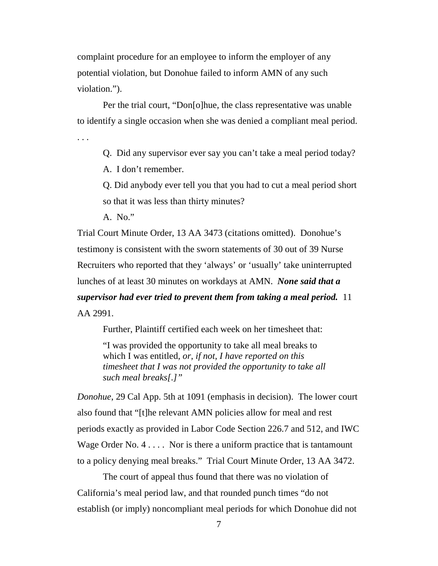complaint procedure for an employee to inform the employer of any potential violation, but Donohue failed to inform AMN of any such violation.").

Per the trial court, "Don[o]hue*,* the class representative was unable to identify a single occasion when she was denied a compliant meal period.

. . .

Q. Did any supervisor ever say you can't take a meal period today?

A. I don't remember.

Q. Did anybody ever tell you that you had to cut a meal period short so that it was less than thirty minutes?

A. No."

Trial Court Minute Order, 13 AA 3473 (citations omitted). Donohue's testimony is consistent with the sworn statements of 30 out of 39 Nurse Recruiters who reported that they 'always' or 'usually' take uninterrupted lunches of at least 30 minutes on workdays at AMN. *None said that a supervisor had ever tried to prevent them from taking a meal period.* 11 AA 2991.

Further, Plaintiff certified each week on her timesheet that:

"I was provided the opportunity to take all meal breaks to which I was entitled*, or, if not, I have reported on this timesheet that I was not provided the opportunity to take all such meal breaks[.]"* 

*Donohue*, 29 Cal App. 5th at 1091 (emphasis in decision). The lower court also found that "[t]he relevant AMN policies allow for meal and rest periods exactly as provided in Labor Code Section 226.7 and 512, and IWC Wage Order No. 4 . . . . Nor is there a uniform practice that is tantamount to a policy denying meal breaks." Trial Court Minute Order, 13 AA 3472.

The court of appeal thus found that there was no violation of California's meal period law, and that rounded punch times "do not establish (or imply) noncompliant meal periods for which Donohue did not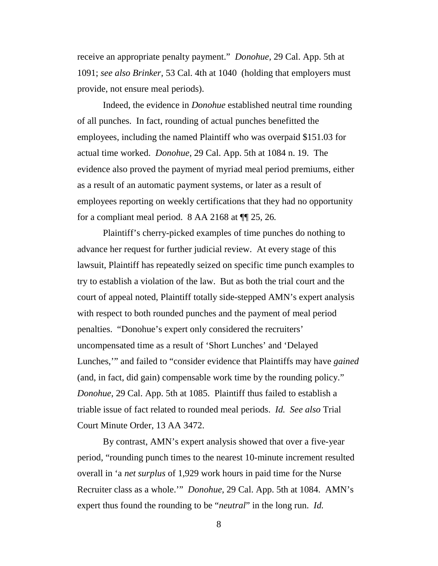receive an appropriate penalty payment." *Donohue,* 29 Cal. App. 5th at 1091; *see also Brinker,* 53 Cal. 4th at 1040 (holding that employers must provide, not ensure meal periods).

Indeed, the evidence in *Donohue* established neutral time rounding of all punches. In fact, rounding of actual punches benefitted the employees, including the named Plaintiff who was overpaid \$151.03 for actual time worked. *Donohue*, 29 Cal. App. 5th at 1084 n. 19. The evidence also proved the payment of myriad meal period premiums, either as a result of an automatic payment systems, or later as a result of employees reporting on weekly certifications that they had no opportunity for a compliant meal period. 8 AA 2168 at ¶¶ 25, 26*.*

Plaintiff's cherry-picked examples of time punches do nothing to advance her request for further judicial review. At every stage of this lawsuit, Plaintiff has repeatedly seized on specific time punch examples to try to establish a violation of the law. But as both the trial court and the court of appeal noted, Plaintiff totally side-stepped AMN's expert analysis with respect to both rounded punches and the payment of meal period penalties. "Donohue's expert only considered the recruiters' uncompensated time as a result of 'Short Lunches' and 'Delayed Lunches,'" and failed to "consider evidence that Plaintiffs may have *gained* (and, in fact, did gain) compensable work time by the rounding policy." *Donohue*, 29 Cal. App. 5th at 1085. Plaintiff thus failed to establish a triable issue of fact related to rounded meal periods. *Id. See also* Trial Court Minute Order, 13 AA 3472.

By contrast, AMN's expert analysis showed that over a five-year period, "rounding punch times to the nearest 10-minute increment resulted overall in 'a *net surplus* of 1,929 work hours in paid time for the Nurse Recruiter class as a whole.'" *Donohue*, 29 Cal. App. 5th at 1084. AMN's expert thus found the rounding to be "*neutral*" in the long run. *Id.*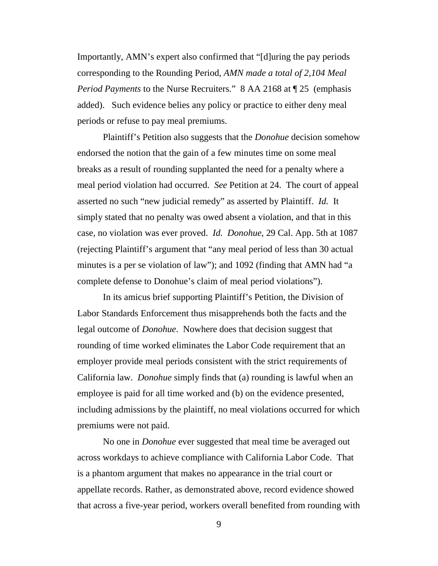Importantly, AMN's expert also confirmed that "[d]uring the pay periods corresponding to the Rounding Period, *AMN made a total of 2,104 Meal Period Payments* to the Nurse Recruiters." 8 AA 2168 at ¶ 25 (emphasis added). Such evidence belies any policy or practice to either deny meal periods or refuse to pay meal premiums.

Plaintiff's Petition also suggests that the *Donohue* decision somehow endorsed the notion that the gain of a few minutes time on some meal breaks as a result of rounding supplanted the need for a penalty where a meal period violation had occurred. *See* Petition at 24. The court of appeal asserted no such "new judicial remedy" as asserted by Plaintiff. *Id.* It simply stated that no penalty was owed absent a violation, and that in this case, no violation was ever proved. *Id. Donohue*, 29 Cal. App. 5th at 1087 (rejecting Plaintiff's argument that "any meal period of less than 30 actual minutes is a per se violation of law"); and 1092 (finding that AMN had "a complete defense to Donohue's claim of meal period violations").

In its amicus brief supporting Plaintiff's Petition, the Division of Labor Standards Enforcement thus misapprehends both the facts and the legal outcome of *Donohue*. Nowhere does that decision suggest that rounding of time worked eliminates the Labor Code requirement that an employer provide meal periods consistent with the strict requirements of California law. *Donohue* simply finds that (a) rounding is lawful when an employee is paid for all time worked and (b) on the evidence presented, including admissions by the plaintiff, no meal violations occurred for which premiums were not paid.

No one in *Donohue* ever suggested that meal time be averaged out across workdays to achieve compliance with California Labor Code. That is a phantom argument that makes no appearance in the trial court or appellate records. Rather, as demonstrated above, record evidence showed that across a five-year period, workers overall benefited from rounding with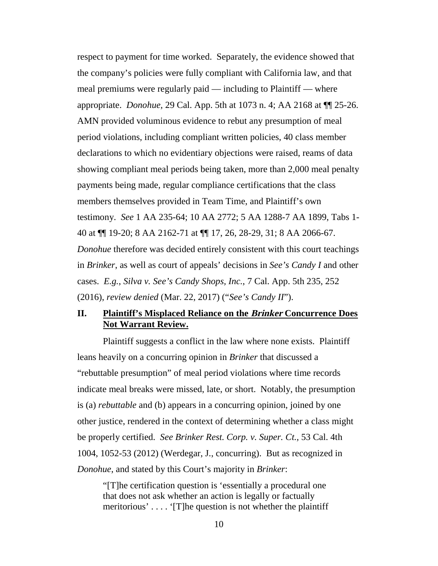respect to payment for time worked. Separately, the evidence showed that the company's policies were fully compliant with California law, and that meal premiums were regularly paid — including to Plaintiff — where appropriate. *Donohue,* 29 Cal. App. 5th at 1073 n. 4; AA 2168 at ¶¶ 25-26. AMN provided voluminous evidence to rebut any presumption of meal period violations, including compliant written policies, 40 class member declarations to which no evidentiary objections were raised, reams of data showing compliant meal periods being taken, more than 2,000 meal penalty payments being made, regular compliance certifications that the class members themselves provided in Team Time, and Plaintiff's own testimony. *See* 1 AA 235-64; 10 AA 2772; 5 AA 1288-7 AA 1899, Tabs 1- 40 at ¶¶ 19-20; 8 AA 2162-71 at ¶¶ 17, 26, 28-29, 31; 8 AA 2066-67. *Donohue* therefore was decided entirely consistent with this court teachings in *Brinker*, as well as court of appeals' decisions in *See's Candy I* and other cases. *E.g.*, *Silva v. See's Candy Shops, Inc.*, 7 Cal. App. 5th 235, 252 (2016), *review denied* (Mar. 22, 2017) ("*See's Candy II*").

#### **II. Plaintiff's Misplaced Reliance on the Brinker Concurrence Does Not Warrant Review.**

Plaintiff suggests a conflict in the law where none exists. Plaintiff leans heavily on a concurring opinion in *Brinker* that discussed a "rebuttable presumption" of meal period violations where time records indicate meal breaks were missed, late, or short. Notably, the presumption is (a) *rebuttable* and (b) appears in a concurring opinion, joined by one other justice, rendered in the context of determining whether a class might be properly certified. *See Brinker Rest. Corp. v. Super. Ct.,* 53 Cal. 4th 1004, 1052-53 (2012) (Werdegar, J., concurring). But as recognized in *Donohue*, and stated by this Court's majority in *Brinker*:

"[T]he certification question is 'essentially a procedural one that does not ask whether an action is legally or factually meritorious' . . . . '[T]he question is not whether the plaintiff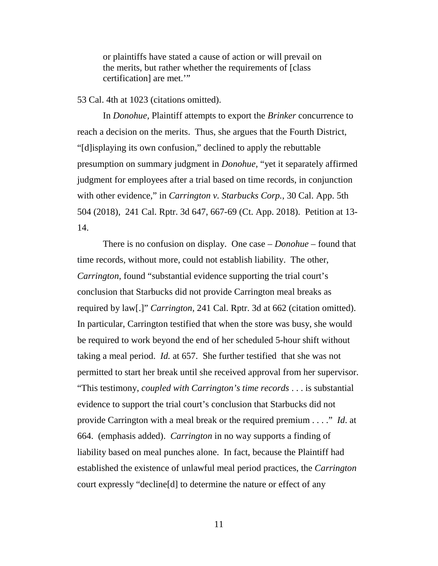or plaintiffs have stated a cause of action or will prevail on the merits, but rather whether the requirements of [class certification] are met.'"

#### 53 Cal. 4th at 1023 (citations omitted).

In *Donohue,* Plaintiff attempts to export the *Brinker* concurrence to reach a decision on the merits. Thus, she argues that the Fourth District, "[d]isplaying its own confusion," declined to apply the rebuttable presumption on summary judgment in *Donohue,* "yet it separately affirmed judgment for employees after a trial based on time records, in conjunction with other evidence," in *Carrington v. Starbucks Corp.*, 30 Cal. App. 5th 504 (2018), 241 Cal. Rptr. 3d 647, 667-69 (Ct. App. 2018). Petition at 13- 14.

There is no confusion on display. One case – *Donohue* – found that time records, without more, could not establish liability. The other, *Carrington*, found "substantial evidence supporting the trial court's conclusion that Starbucks did not provide Carrington meal breaks as required by law[.]" *Carrington*, 241 Cal. Rptr. 3d at 662 (citation omitted). In particular, Carrington testified that when the store was busy, she would be required to work beyond the end of her scheduled 5-hour shift without taking a meal period. *Id.* at 657. She further testified that she was not permitted to start her break until she received approval from her supervisor. "This testimony, *coupled with Carrington's time records* . . . is substantial evidence to support the trial court's conclusion that Starbucks did not provide Carrington with a meal break or the required premium . . . ." *Id*. at 664. (emphasis added). *Carrington* in no way supports a finding of liability based on meal punches alone. In fact, because the Plaintiff had established the existence of unlawful meal period practices, the *Carrington* court expressly "decline[d] to determine the nature or effect of any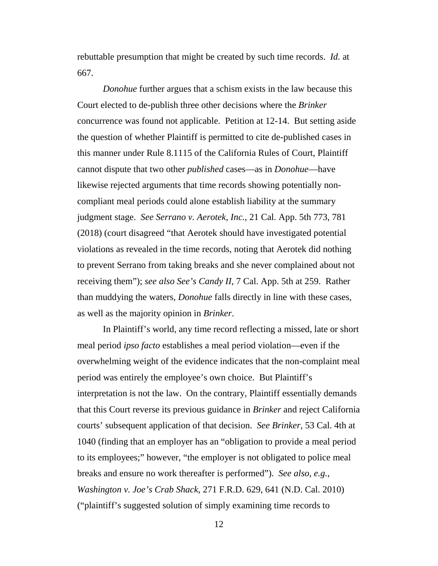rebuttable presumption that might be created by such time records. *Id.* at 667.

*Donohue* further argues that a schism exists in the law because this Court elected to de-publish three other decisions where the *Brinker* concurrence was found not applicable. Petition at 12-14. But setting aside the question of whether Plaintiff is permitted to cite de-published cases in this manner under Rule 8.1115 of the California Rules of Court, Plaintiff cannot dispute that two other *published* cases—as in *Donohue*—have likewise rejected arguments that time records showing potentially noncompliant meal periods could alone establish liability at the summary judgment stage. *See Serrano v. Aerotek, Inc.*, 21 Cal. App. 5th 773, 781 (2018) (court disagreed "that Aerotek should have investigated potential violations as revealed in the time records, noting that Aerotek did nothing to prevent Serrano from taking breaks and she never complained about not receiving them"); *see also See's Candy II*, 7 Cal. App. 5th at 259. Rather than muddying the waters, *Donohue* falls directly in line with these cases, as well as the majority opinion in *Brinker*.

In Plaintiff's world, any time record reflecting a missed, late or short meal period *ipso facto* establishes a meal period violation—even if the overwhelming weight of the evidence indicates that the non-complaint meal period was entirely the employee's own choice. But Plaintiff's interpretation is not the law. On the contrary, Plaintiff essentially demands that this Court reverse its previous guidance in *Brinker* and reject California courts' subsequent application of that decision. *See Brinker*, 53 Cal. 4th at 1040 (finding that an employer has an "obligation to provide a meal period to its employees;" however, "the employer is not obligated to police meal breaks and ensure no work thereafter is performed"). *See also, e.g.*, *Washington v. Joe's Crab Shack*, 271 F.R.D. 629, 641 (N.D. Cal. 2010) ("plaintiff's suggested solution of simply examining time records to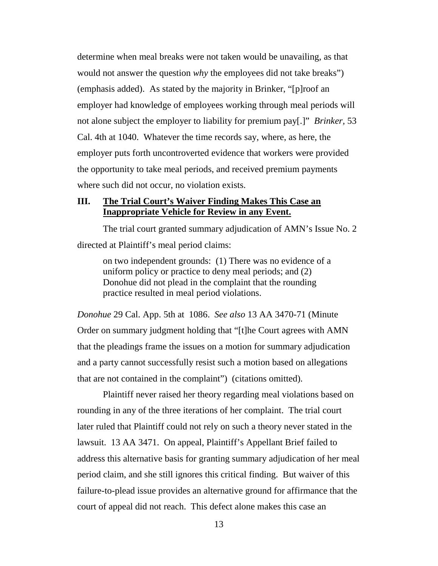determine when meal breaks were not taken would be unavailing, as that would not answer the question *why* the employees did not take breaks") (emphasis added). As stated by the majority in Brinker, "[p]roof an employer had knowledge of employees working through meal periods will not alone subject the employer to liability for premium pay[.]" *Brinker,* 53 Cal. 4th at 1040. Whatever the time records say, where, as here, the employer puts forth uncontroverted evidence that workers were provided the opportunity to take meal periods, and received premium payments where such did not occur, no violation exists.

#### **III. The Trial Court's Waiver Finding Makes This Case an Inappropriate Vehicle for Review in any Event.**

The trial court granted summary adjudication of AMN's Issue No. 2 directed at Plaintiff's meal period claims:

on two independent grounds: (1) There was no evidence of a uniform policy or practice to deny meal periods; and (2) Donohue did not plead in the complaint that the rounding practice resulted in meal period violations.

*Donohue* 29 Cal. App. 5th at 1086. *See also* 13 AA 3470-71 (Minute Order on summary judgment holding that "[t]he Court agrees with AMN that the pleadings frame the issues on a motion for summary adjudication and a party cannot successfully resist such a motion based on allegations that are not contained in the complaint") (citations omitted).

Plaintiff never raised her theory regarding meal violations based on rounding in any of the three iterations of her complaint. The trial court later ruled that Plaintiff could not rely on such a theory never stated in the lawsuit. 13 AA 3471. On appeal, Plaintiff's Appellant Brief failed to address this alternative basis for granting summary adjudication of her meal period claim, and she still ignores this critical finding. But waiver of this failure-to-plead issue provides an alternative ground for affirmance that the court of appeal did not reach. This defect alone makes this case an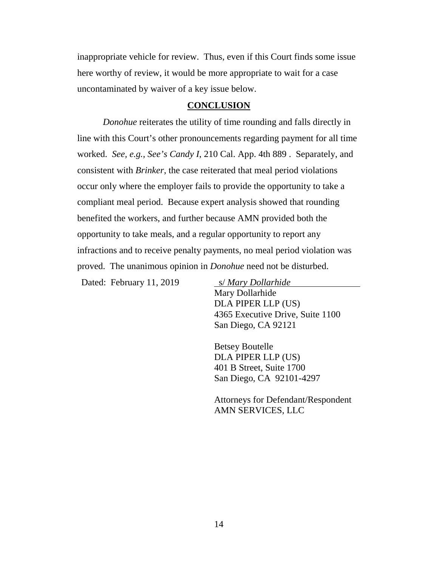inappropriate vehicle for review. Thus, even if this Court finds some issue here worthy of review, it would be more appropriate to wait for a case uncontaminated by waiver of a key issue below.

#### **CONCLUSION**

*Donohue* reiterates the utility of time rounding and falls directly in line with this Court's other pronouncements regarding payment for all time worked. *See, e.g., See's Candy I*, 210 Cal. App. 4th 889 . Separately, and consistent with *Brinker*, the case reiterated that meal period violations occur only where the employer fails to provide the opportunity to take a compliant meal period. Because expert analysis showed that rounding benefited the workers, and further because AMN provided both the opportunity to take meals, and a regular opportunity to report any infractions and to receive penalty payments, no meal period violation was proved. The unanimous opinion in *Donohue* need not be disturbed.

Dated: February 11, 2019 s/ *Mary Dollarhide*

Mary Dollarhide DLA PIPER LLP (US) 4365 Executive Drive, Suite 1100 San Diego, CA 92121

Betsey Boutelle DLA PIPER LLP (US) 401 B Street, Suite 1700 San Diego, CA 92101-4297

Attorneys for Defendant/Respondent AMN SERVICES, LLC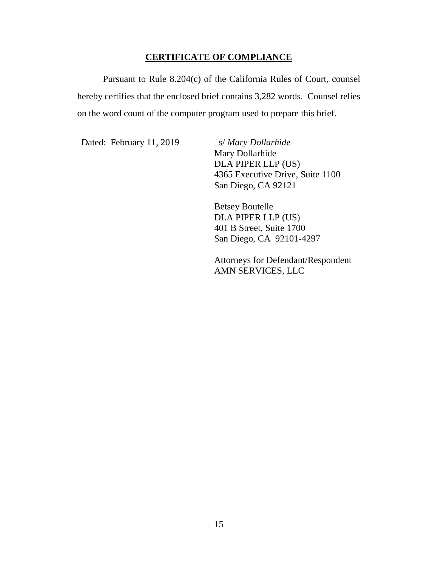#### **CERTIFICATE OF COMPLIANCE**

Pursuant to Rule 8.204(c) of the California Rules of Court, counsel hereby certifies that the enclosed brief contains 3,282 words. Counsel relies on the word count of the computer program used to prepare this brief.

Dated: February 11, 2019 S/ *Mary Dollarhide* 

Mary Dollarhide DLA PIPER LLP (US) 4365 Executive Drive, Suite 1100 San Diego, CA 92121

Betsey Boutelle DLA PIPER LLP (US) 401 B Street, Suite 1700 San Diego, CA 92101-4297

Attorneys for Defendant/Respondent AMN SERVICES, LLC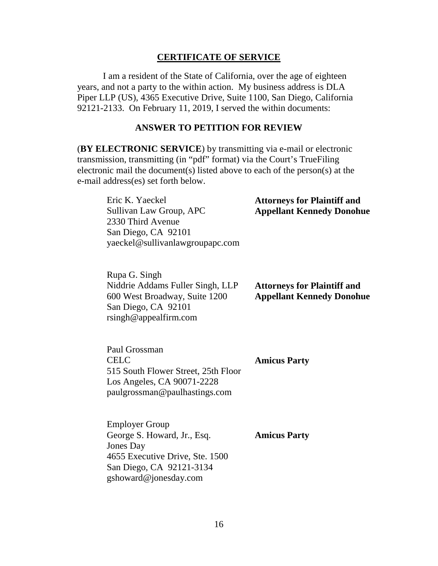#### **CERTIFICATE OF SERVICE**

I am a resident of the State of California, over the age of eighteen years, and not a party to the within action. My business address is DLA Piper LLP (US), 4365 Executive Drive, Suite 1100, San Diego, California 92121-2133. On February 11, 2019, I served the within documents:

#### **ANSWER TO PETITION FOR REVIEW**

(**BY ELECTRONIC SERVICE**) by transmitting via e-mail or electronic transmission, transmitting (in "pdf" format) via the Court's TrueFiling electronic mail the document(s) listed above to each of the person(s) at the e-mail address(es) set forth below.

| Eric K. Yaeckel                 | <b>Attorneys for Plaintiff and</b> |
|---------------------------------|------------------------------------|
| Sullivan Law Group, APC         | <b>Appellant Kennedy Donohue</b>   |
| 2330 Third Avenue               |                                    |
| San Diego, CA 92101             |                                    |
| yaeckel@sullivanlawgroupapc.com |                                    |

| Rupa G. Singh                    |                                    |
|----------------------------------|------------------------------------|
| Niddrie Addams Fuller Singh, LLP | <b>Attorneys for Plaintiff and</b> |
| 600 West Broadway, Suite 1200    | <b>Appellant Kennedy Donohue</b>   |
| San Diego, CA 92101              |                                    |
| rsingh@appendfirm.com            |                                    |

Paul Grossman CELC 515 South Flower Street, 25th Floor Los Angeles, CA 90071-2228 paulgrossman@paulhastings.com

**Amicus Party** 

Employer Group George S. Howard, Jr., Esq. Jones Day 4655 Executive Drive, Ste. 1500 San Diego, CA 92121-3134 gshoward@jonesday.com **Amicus Party**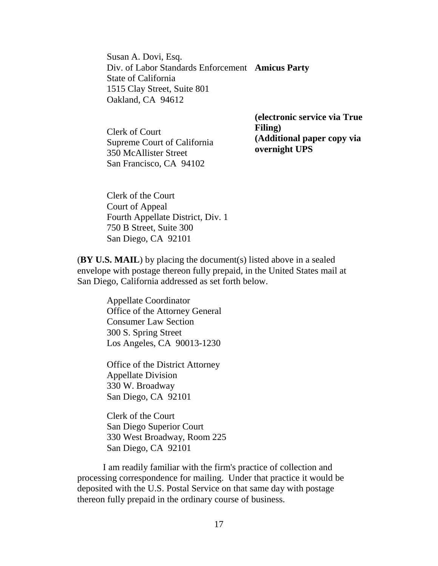Susan A. Dovi, Esq. Div. of Labor Standards Enforcement **Amicus Party**  State of California 1515 Clay Street, Suite 801 Oakland, CA 94612

Clerk of Court Supreme Court of California 350 McAllister Street San Francisco, CA 94102

**(electronic service via True Filing) (Additional paper copy via overnight UPS** 

Clerk of the Court Court of Appeal Fourth Appellate District, Div. 1 750 B Street, Suite 300 San Diego, CA 92101

(**BY U.S. MAIL**) by placing the document(s) listed above in a sealed envelope with postage thereon fully prepaid, in the United States mail at San Diego, California addressed as set forth below.

> Appellate Coordinator Office of the Attorney General Consumer Law Section 300 S. Spring Street Los Angeles, CA 90013-1230

Office of the District Attorney Appellate Division 330 W. Broadway San Diego, CA 92101

Clerk of the Court San Diego Superior Court 330 West Broadway, Room 225 San Diego, CA 92101

I am readily familiar with the firm's practice of collection and processing correspondence for mailing. Under that practice it would be deposited with the U.S. Postal Service on that same day with postage thereon fully prepaid in the ordinary course of business.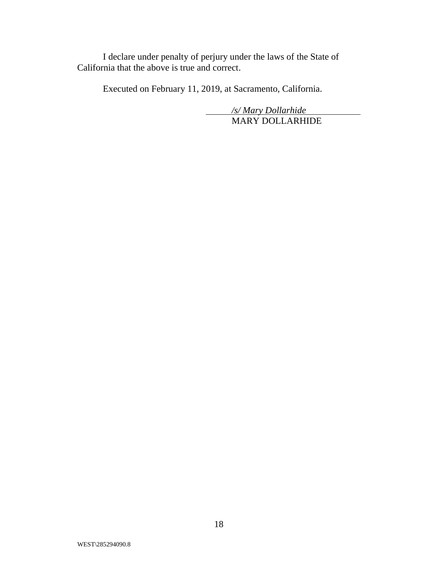I declare under penalty of perjury under the laws of the State of California that the above is true and correct.

Executed on February 11, 2019, at Sacramento, California.

*/s/ Mary Dollarhide* MARY DOLLARHIDE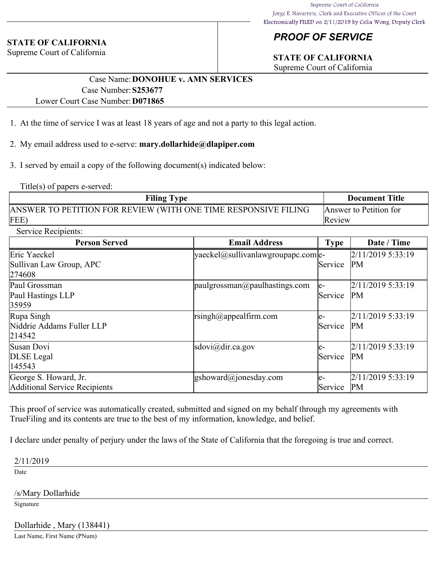#### **STATE OF CALIFORNIA**

Supreme Court of California

## *PROOF OF SERVICE*

# **STATE OF CALIFORNIA**

Supreme Court of California

#### Case Name:**DONOHUE v. AMN SERVICES** Case Number:**S253677** Lower Court Case Number:**D071865**

- 1. At the time of service I was at least 18 years of age and not a party to this legal action.
- 2. My email address used to e-serve: **mary.dollarhide@dlapiper.com**
- 3. I served by email a copy of the following document(s) indicated below:

Title(s) of papers e-served:

| <b>Filing Type</b>                                             | <b>Document Title</b>  |
|----------------------------------------------------------------|------------------------|
| ANSWER TO PETITION FOR REVIEW (WITH ONE TIME RESPONSIVE FILING | Answer to Petition for |
| FEE)                                                           | Review                 |

Service Recipients:

| <b>Person Served</b>                                   | <b>Email Address</b>                  | <b>Type</b>           | Date / Time                    |
|--------------------------------------------------------|---------------------------------------|-----------------------|--------------------------------|
| Eric Yaeckel<br>Sullivan Law Group, APC<br>274608      | $ yaeckel@sullivanlawgroupapc.com e-$ | Service               | 2/11/2019 5:33:19<br><b>PM</b> |
| Paul Grossman<br>Paul Hastings LLP<br>35959            | $ $ paulgrossman@paulhastings.com     | le-<br>Service        | 2/11/2019 5:33:19<br><b>PM</b> |
| Rupa Singh<br>Niddrie Addams Fuller LLP<br>214542      | rsingh@appealfirm.com                 | le-<br><b>Service</b> | 2/11/2019 5:33:19<br>PM        |
| Susan Dovi<br>DLSE Legal<br>145543                     | sdovi@dir.ca.gov                      | le-<br>Service        | 2/11/2019 5:33:19<br><b>PM</b> |
| George S. Howard, Jr.<br>Additional Service Recipients | $\text{gshoward}(a)$ ionesday.com     | le-<br>Service        | 2/11/2019 5:33:19<br>PM        |

This proof of service was automatically created, submitted and signed on my behalf through my agreements with TrueFiling and its contents are true to the best of my information, knowledge, and belief.

I declare under penalty of perjury under the laws of the State of California that the foregoing is true and correct.

2/11/2019

Date

/s/Mary Dollarhide

Signature

Dollarhide , Mary (138441)

Last Name, First Name (PNum)